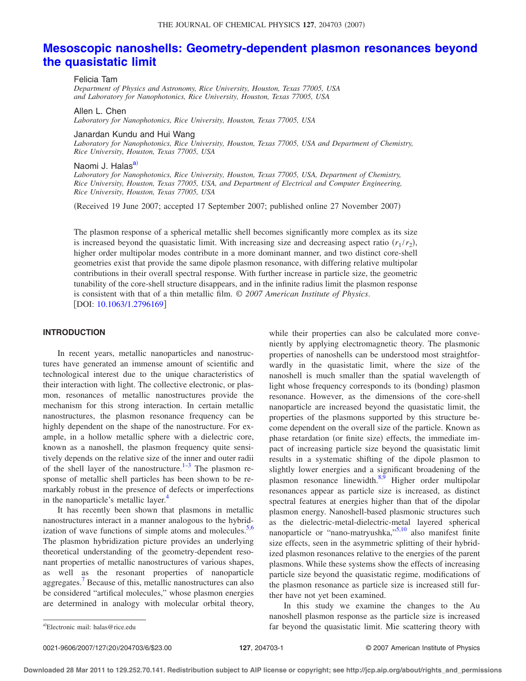# **[Mesoscopic nanoshells: Geometry-dependent plasmon resonances beyond](http://dx.doi.org/10.1063/1.2796169) [the quasistatic limit](http://dx.doi.org/10.1063/1.2796169)**

Felicia Tam

*Department of Physics and Astronomy, Rice University, Houston, Texas 77005, USA and Laboratory for Nanophotonics, Rice University, Houston, Texas 77005, USA*

Allen L. Chen *Laboratory for Nanophotonics, Rice University, Houston, Texas 77005, USA*

#### Janardan Kundu and Hui Wang

*Laboratory for Nanophotonics, Rice University, Houston, Texas 77005, USA and Department of Chemistry, Rice University, Houston, Texas 77005, USA*

Naomi J. Halas<sup>a)</sup>

*Laboratory for Nanophotonics, Rice University, Houston, Texas 77005, USA, Department of Chemistry, Rice University, Houston, Texas 77005, USA, and Department of Electrical and Computer Engineering, Rice University, Houston, Texas 77005, USA*

(Received 19 June 2007; accepted 17 September 2007; published online 27 November 2007)

The plasmon response of a spherical metallic shell becomes significantly more complex as its size is increased beyond the quasistatic limit. With increasing size and decreasing aspect ratio  $(r_1 / r_2)$ , higher order multipolar modes contribute in a more dominant manner, and two distinct core-shell geometries exist that provide the same dipole plasmon resonance, with differing relative multipolar contributions in their overall spectral response. With further increase in particle size, the geometric tunability of the core-shell structure disappears, and in the infinite radius limit the plasmon response is consistent with that of a thin metallic film. © *2007 American Institute of Physics*. [DOI: [10.1063/1.2796169](http://dx.doi.org/10.1063/1.2796169)]

# **INTRODUCTION**

In recent years, metallic nanoparticles and nanostructures have generated an immense amount of scientific and technological interest due to the unique characteristics of their interaction with light. The collective electronic, or plasmon, resonances of metallic nanostructures provide the mechanism for this strong interaction. In certain metallic nanostructures, the plasmon resonance frequency can be highly dependent on the shape of the nanostructure. For example, in a hollow metallic sphere with a dielectric core, known as a nanoshell, the plasmon frequency quite sensitively depends on the relative size of the inner and outer radii of the shell layer of the nanostructure.<sup>1–[3](#page-4-1)</sup> The plasmon response of metallic shell particles has been shown to be remarkably robust in the presence of defects or imperfections in the nanoparticle's metallic layer.<sup>4</sup>

It has recently been shown that plasmons in metallic nanostructures interact in a manner analogous to the hybridization of wave functions of simple atoms and molecules. $5,6$  $5,6$ The plasmon hybridization picture provides an underlying theoretical understanding of the geometry-dependent resonant properties of metallic nanostructures of various shapes, as well as the resonant properties of nanoparticle aggregates.<sup>7</sup> Because of this, metallic nanostructures can also be considered "artifical molecules," whose plasmon energies are determined in analogy with molecular orbital theory,

while their properties can also be calculated more conveniently by applying electromagnetic theory. The plasmonic properties of nanoshells can be understood most straightforwardly in the quasistatic limit, where the size of the nanoshell is much smaller than the spatial wavelength of light whose frequency corresponds to its (bonding) plasmon resonance. However, as the dimensions of the core-shell nanoparticle are increased beyond the quasistatic limit, the properties of the plasmons supported by this structure become dependent on the overall size of the particle. Known as phase retardation (or finite size) effects, the immediate impact of increasing particle size beyond the quasistatic limit results in a systematic shifting of the dipole plasmon to slightly lower energies and a significant broadening of the plasmon resonance linewidth. $8,9$  $8,9$  Higher order multipolar resonances appear as particle size is increased, as distinct spectral features at energies higher than that of the dipolar plasmon energy. Nanoshell-based plasmonic structures such as the dielectric-metal-dielectric-metal layered spherical nanoparticle or "nano-matryushka,["5,](#page-4-3)[10](#page-5-4) also manifest finite size effects, seen in the asymmetric splitting of their hybridized plasmon resonances relative to the energies of the parent plasmons. While these systems show the effects of increasing particle size beyond the quasistatic regime, modifications of the plasmon resonance as particle size is increased still further have not yet been examined.

In this study we examine the changes to the Au nanoshell plasmon response as the particle size is increased far beyond the quasistatic limit. Mie scattering theory with

<span id="page-0-0"></span>Electronic mail: halas@rice.edu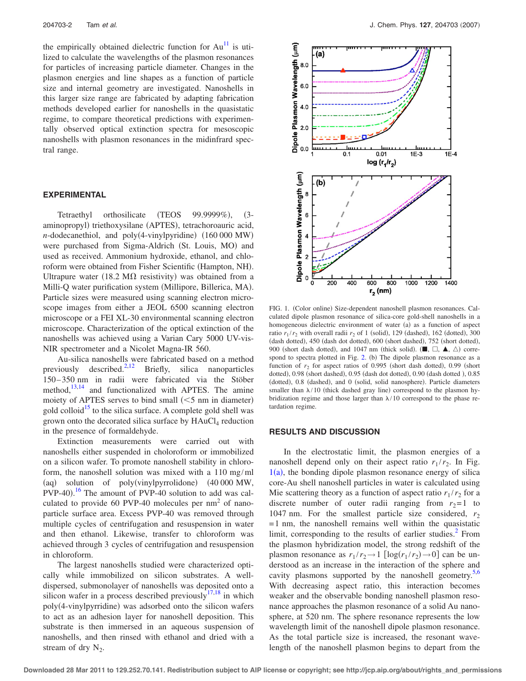the empirically obtained dielectric function for  $Au<sup>11</sup>$  is utilized to calculate the wavelengths of the plasmon resonances for particles of increasing particle diameter. Changes in the plasmon energies and line shapes as a function of particle size and internal geometry are investigated. Nanoshells in this larger size range are fabricated by adapting fabrication methods developed earlier for nanoshells in the quasistatic regime, to compare theoretical predictions with experimentally observed optical extinction spectra for mesoscopic nanoshells with plasmon resonances in the midinfrard spectral range.

### **EXPERIMENTAL**

Tetraethyl orthosilicate (TEOS 99.9999%), (3aminopropyl) triethoxysilane (APTES), tetrachoroauric acid,  $n$ -dodecanethiol, and poly(4-vinylpyridine)  $(160 000 MW)$ were purchased from Sigma-Aldrich (St. Louis, MO) and used as received. Ammonium hydroxide, ethanol, and chloroform were obtained from Fisher Scientific (Hampton, NH). Ultrapure water (18.2 M $\Omega$  resistivity) was obtained from a Milli-Q water purification system (Millipore, Billerica, MA). Particle sizes were measured using scanning electron microscope images from either a JEOL 6500 scanning electron microscope or a FEI XL-30 environmental scanning electron microscope. Characterization of the optical extinction of the nanoshells was achieved using a Varian Cary 5000 UV-vis-NIR spectrometer and a Nicolet Magna-IR 560.

Au-silica nanoshells were fabricated based on a method previously described.<sup>2,[12](#page-5-6)</sup> Briefly, silica nanoparticles 150– 350 nm in radii were fabricated via the Stöber method, $13,14$  $13,14$  and functionalized with APTES. The amine moiety of APTES serves to bind small  $(<5$  nm in diameter) gold colloid<sup>15</sup> to the silica surface. A complete gold shell was grown onto the decorated silica surface by  $HAuCl<sub>4</sub>$  reduction in the presence of formaldehyde.

Extinction measurements were carried out with nanoshells either suspended in choloroform or immobilized on a silicon wafer. To promote nanoshell stability in chloroform, the nanoshell solution was mixed with a 110 mg/ml (aq) solution of poly(vinylpyrrolidone) 40 000 MW,  $PVP-40$ ).<sup>[16](#page-5-10)</sup> The amount of  $PVP-40$  solution to add was calculated to provide 60 PVP-40 molecules per  $nm<sup>2</sup>$  of nanoparticle surface area. Excess PVP-40 was removed through multiple cycles of centrifugation and resuspension in water and then ethanol. Likewise, transfer to chloroform was achieved through 3 cycles of centrifugation and resuspension in chloroform.

The largest nanoshells studied were characterized optically while immobilized on silicon substrates. A welldispersed, submonolayer of nanoshells was deposited onto a silicon wafer in a process described previously  $17,18$  $17,18$  in which poly(4-vinylpyrridine) was adsorbed onto the silicon wafers to act as an adhesion layer for nanoshell deposition. This substrate is then immersed in an aqueous suspension of nanoshells, and then rinsed with ethanol and dried with a stream of dry  $N_2$ .

<span id="page-1-0"></span>

FIG. 1. (Color online) Size-dependent nanoshell plasmon resonances. Calculated dipole plasmon resonance of silica-core gold-shell nanoshells in a homogeneous dielectric environment of water  $(a)$  as a function of aspect ratio  $r_1/r_2$  with overall radii  $r_2$  of 1 (solid), 129 (dashed), 162 (dotted), 300 (dash dotted), 450 (dash dot dotted), 600 (short dashed), 752 (short dotted), 900 (short dash dotted), and 1047 nm (thick solid).  $(\blacksquare, \square, \blacktriangle, \triangle)$  correspond to spectra plotted in Fig.  $2$ . (b) The dipole plasmon resonance as a function of  $r<sub>2</sub>$  for aspect ratios of 0.995 (short dash dotted), 0.99 (short dotted), 0.98 (short dashed), 0.95 (dash dot dotted), 0.90 (dash dotted), 0.85 (dotted), 0.8 (dashed), and 0 (solid, solid nanosphere). Particle diameters smaller than  $\lambda/10$  (thick dashed gray line) correspond to the plasmon hybridization regime and those larger than  $\lambda/10$  correspond to the phase retardation regime.

#### **RESULTS AND DISCUSSION**

In the electrostatic limit, the plasmon energies of a nanoshell depend only on their aspect ratio  $r_1 / r_2$ . In Fig.  $1(a)$  $1(a)$ , the bonding dipole plasmon resonance energy of silica core-Au shell nanoshell particles in water is calculated using Mie scattering theory as a function of aspect ratio  $r_1/r_2$  for a discrete number of outer radii ranging from  $r_2 = 1$  to 1047 nm. For the smallest particle size considered,  $r_2$  $=$  1 nm, the nanoshell remains well within the quasistatic limit, corresponding to the results of earlier studies.<sup>2</sup> From the plasmon hybridization model, the strong redshift of the plasmon resonance as  $r_1 / r_2 \rightarrow 1$   $\lceil \log(r_1 / r_2) \rightarrow 0 \rceil$  can be understood as an increase in the interaction of the sphere and cavity plasmons supported by the nanoshell geometry. $5,6$  $5,6$ With decreasing aspect ratio, this interaction becomes weaker and the observable bonding nanoshell plasmon resonance approaches the plasmon resonance of a solid Au nanosphere, at 520 nm. The sphere resonance represents the low wavelength limit of the nanoshell dipole plasmon resonance. As the total particle size is increased, the resonant wavelength of the nanoshell plasmon begins to depart from the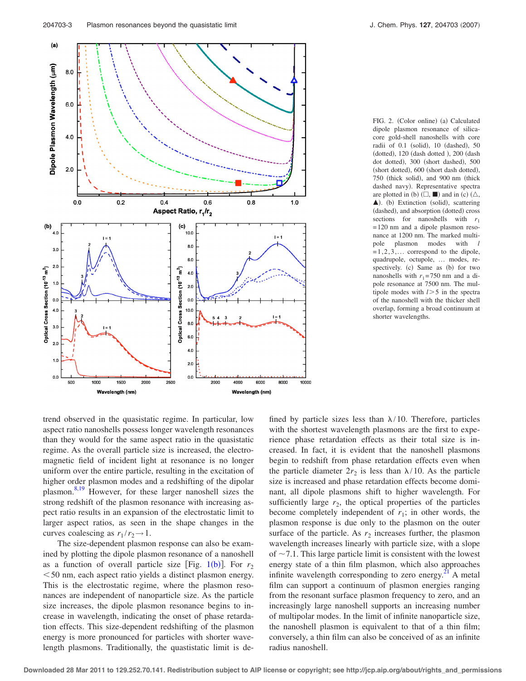<span id="page-2-0"></span>

FIG. 2. (Color online) (a) Calculated dipole plasmon resonance of silicacore gold-shell nanoshells with core radii of 0.1 (solid), 10 (dashed), 50 (dotted), 120 (dash dotted ), 200 (dash dot dotted), 300 (short dashed), 500 (short dotted), 600 (short dash dotted), 750 (thick solid), and 900 nm (thick dashed navy). Representative spectra are plotted in (b)  $(\Box, \blacksquare)$  and in (c)  $(\triangle, \Box)$  $\blacktriangle$ ). (b) Extinction (solid), scattering (dashed), and absorption (dotted) cross sections for nanoshells with  $r_1$ = 120 nm and a dipole plasmon resonance at 1200 nm. The marked multipole plasmon modes with *l*  $=1,2,3,...$  correspond to the dipole, quadrupole, octupole, … modes, respectively. (c) Same as (b) for two nanoshells with  $r_1$ = 750 nm and a dipole resonance at 7500 nm. The multipole modes with  $l > 5$  in the spectra of the nanoshell with the thicker shell overlap, forming a broad continuum at shorter wavelengths.

trend observed in the quasistatic regime. In particular, low aspect ratio nanoshells possess longer wavelength resonances than they would for the same aspect ratio in the quasistatic regime. As the overall particle size is increased, the electromagnetic field of incident light at resonance is no longer uniform over the entire particle, resulting in the excitation of higher order plasmon modes and a redshifting of the dipolar plasmon. $8,19$  $8,19$  However, for these larger nanoshell sizes the strong redshift of the plasmon resonance with increasing aspect ratio results in an expansion of the electrostatic limit to larger aspect ratios, as seen in the shape changes in the curves coalescing as  $r_1 / r_2 \rightarrow 1$ .

The size-dependent plasmon response can also be examined by plotting the dipole plasmon resonance of a nanoshell as a function of overall particle size  $|Fig. 1(b)|$  $|Fig. 1(b)|$  $|Fig. 1(b)|$ . For  $r<sub>2</sub>$  $<$  50 nm, each aspect ratio yields a distinct plasmon energy. This is the electrostatic regime, where the plasmon resonances are independent of nanoparticle size. As the particle size increases, the dipole plasmon resonance begins to increase in wavelength, indicating the onset of phase retardation effects. This size-dependent redshifting of the plasmon energy is more pronounced for particles with shorter wavelength plasmons. Traditionally, the quastistatic limit is defined by particle sizes less than  $\lambda/10$ . Therefore, particles with the shortest wavelength plasmons are the first to experience phase retardation effects as their total size is increased. In fact, it is evident that the nanoshell plasmons begin to redshift from phase retardation effects even when the particle diameter  $2r_2$  is less than  $\lambda/10$ . As the particle size is increased and phase retardation effects become dominant, all dipole plasmons shift to higher wavelength. For sufficiently large  $r<sub>2</sub>$ , the optical properties of the particles become completely independent of  $r_1$ ; in other words, the plasmon response is due only to the plasmon on the outer surface of the particle. As  $r_2$  increases further, the plasmon wavelength increases linearly with particle size, with a slope of  $\sim$  7.1. This large particle limit is consistent with the lowest energy state of a thin film plasmon, which also approaches infinite wavelength corresponding to zero energy. $^{21}$  A metal film can support a continuum of plasmon energies ranging from the resonant surface plasmon frequency to zero, and an increasingly large nanoshell supports an increasing number of multipolar modes. In the limit of infinite nanoparticle size, the nanoshell plasmon is equivalent to that of a thin film; conversely, a thin film can also be conceived of as an infinite radius nanoshell.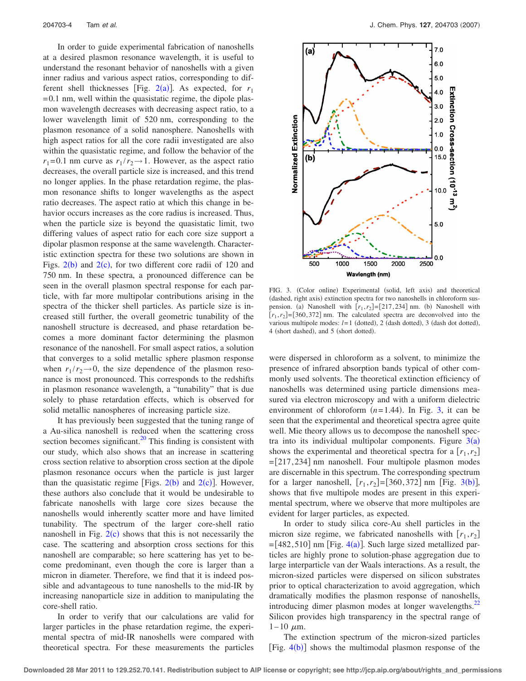In order to guide experimental fabrication of nanoshells at a desired plasmon resonance wavelength, it is useful to understand the resonant behavior of nanoshells with a given inner radius and various aspect ratios, corresponding to dif-ferent shell thicknesses [Fig. [2](#page-2-0)(a)]. As expected, for  $r_1$  $= 0.1$  nm, well within the quasistatic regime, the dipole plasmon wavelength decreases with decreasing aspect ratio, to a lower wavelength limit of 520 nm, corresponding to the plasmon resonance of a solid nanosphere. Nanoshells with high aspect ratios for all the core radii investigated are also within the quasistatic regime, and follow the behavior of the  $r_1 = 0.1$  nm curve as  $r_1 / r_2 \rightarrow 1$ . However, as the aspect ratio decreases, the overall particle size is increased, and this trend no longer applies. In the phase retardation regime, the plasmon resonance shifts to longer wavelengths as the aspect ratio decreases. The aspect ratio at which this change in behavior occurs increases as the core radius is increased. Thus, when the particle size is beyond the quasistatic limit, two differing values of aspect ratio for each core size support a dipolar plasmon response at the same wavelength. Characteristic extinction spectra for these two solutions are shown in Figs.  $2(b)$  $2(b)$  and  $2(c)$ , for two different core radii of 120 and 750 nm. In these spectra, a pronounced difference can be seen in the overall plasmon spectral response for each particle, with far more multipolar contributions arising in the spectra of the thicker shell particles. As particle size is increased still further, the overall geometric tunability of the nanoshell structure is decreased, and phase retardation becomes a more dominant factor determining the plasmon resonance of the nanoshell. For small aspect ratios, a solution that converges to a solid metallic sphere plasmon response when  $r_1 / r_2 \rightarrow 0$ , the size dependence of the plasmon resonance is most pronounced. This corresponds to the redshifts in plasmon resonance wavelength, a "tunability" that is due solely to phase retardation effects, which is observed for solid metallic nanospheres of increasing particle size.

It has previously been suggested that the tuning range of a Au-silica nanoshell is reduced when the scattering cross section becomes significant. $20$  This finding is consistent with our study, which also shows that an increase in scattering cross section relative to absorption cross section at the dipole plasmon resonance occurs when the particle is just larger than the quasistatic regime [Figs.  $2(b)$  $2(b)$  and  $2(c)$ ]. However, these authors also conclude that it would be undesirable to fabricate nanoshells with large core sizes because the nanoshells would inherently scatter more and have limited tunability. The spectrum of the larger core-shell ratio nanoshell in Fig.  $2(c)$  $2(c)$  shows that this is not necessarily the case. The scattering and absorption cross sections for this nanoshell are comparable; so here scattering has yet to become predominant, even though the core is larger than a micron in diameter. Therefore, we find that it is indeed possible and advantageous to tune nanoshells to the mid-IR by increasing nanoparticle size in addition to manipulating the core-shell ratio.

In order to verify that our calculations are valid for larger particles in the phase retardation regime, the experimental spectra of mid-IR nanoshells were compared with theoretical spectra. For these measurements the particles

<span id="page-3-0"></span>

FIG. 3. (Color online) Experimental (solid, left axis) and theoretical (dashed, right axis) extinction spectra for two nanoshells in chloroform suspension. (a) Nanoshell with  $[r_1, r_2] = [217, 234]$  nm. (b) Nanoshell with  $[r_1, r_2] = [360, 372]$  nm. The calculated spectra are deconvolved into the various multipole modes:  $l = 1$  (dotted), 2 (dash dotted), 3 (dash dot dotted), 4 (short dashed), and 5 (short dotted).

were dispersed in chloroform as a solvent, to minimize the presence of infrared absorption bands typical of other commonly used solvents. The theoretical extinction efficiency of nanoshells was determined using particle dimensions measured via electron microscopy and with a uniform dielectric environment of chloroform  $(n=1.44)$ . In Fig. [3,](#page-3-0) it can be seen that the experimental and theoretical spectra agree quite well. Mie theory allows us to decompose the nanoshell spectra into its individual multipolar components. Figure  $3(a)$  $3(a)$ shows the experimental and theoretical spectra for a  $[r_1, r_2]$  $=[217, 234]$  nm nanoshell. Four multipole plasmon modes are discernable in this spectrum. The corresponding spectrum for a larger nanoshell,  $[r_1, r_2] = [360, 372]$  $[r_1, r_2] = [360, 372]$  $[r_1, r_2] = [360, 372]$  nm [Fig. 3(b)], shows that five multipole modes are present in this experimental spectrum, where we observe that more multipoles are evident for larger particles, as expected.

In order to study silica core-Au shell particles in the micron size regime, we fabricated nanoshells with  $[r_1, r_2]$  $=[482, 510]$  $=[482, 510]$  $=[482, 510]$  nm [Fig. 4(a)]. Such large sized metallized particles are highly prone to solution-phase aggregation due to large interparticle van der Waals interactions. As a result, the micron-sized particles were dispersed on silicon substrates prior to optical characterization to avoid aggregation, which dramatically modifies the plasmon response of nanoshells, introducing dimer plasmon modes at longer wavelengths.<sup>22</sup> Silicon provides high transparency in the spectral range of  $1 - 10 \mu m$ .

The extinction spectrum of the micron-sized particles [Fig.  $4(b)$  $4(b)$ ] shows the multimodal plasmon response of the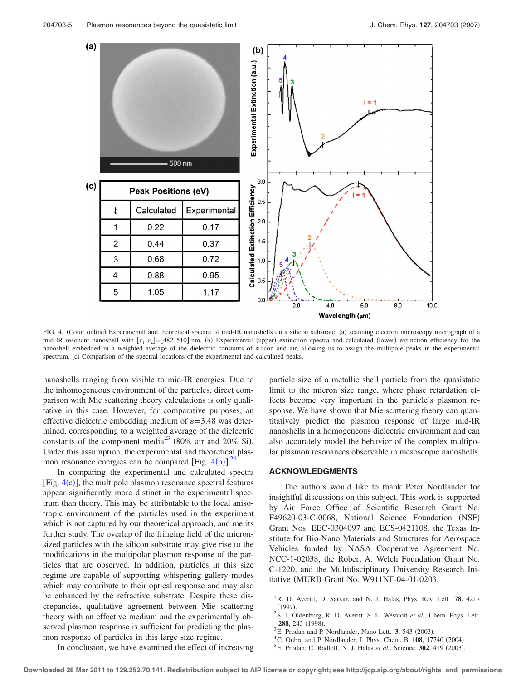<span id="page-4-5"></span>

FIG. 4. (Color online) Experimental and theoretical spectra of mid-IR nanoshells on a silicon substrate. (a) scanning electron microscopy micrograph of a mid-IR resonant nanoshell with  $[r_1, r_2] = [482, 510]$  nm. (b) Experimental (upper) extinction spectra and calculated (lower) extinction efficiency for the nanoshell embedded in a weighted average of the dielectric constants of silicon and air, allowing us to assign the multipole peaks in the experimental spectrum. (c) Comparison of the spectral locations of the experimental and calculated peaks.

nanoshells ranging from visible to mid-IR energies. Due to the inhomogeneous environment of the particles, direct comparison with Mie scattering theory calculations is only qualitative in this case. However, for comparative purposes, an effective dielectric embedding medium of  $\varepsilon$  = 3.48 was determined, corresponding to a weighted average of the dielectric constants of the component media<sup>23</sup> (80% air and 20% Si). Under this assumption, the experimental and theoretical plasmon resonance energies can [b](#page-4-5)e compared [Fig.  $4(b)$ ].<sup>[24](#page-5-18)</sup>

In comparing the experimental and calculated spectra [Fig.  $4(c)$  $4(c)$ ], the multipole plasmon resonance spectral features appear significantly more distinct in the experimental spectrum than theory. This may be attributable to the local anisotropic environment of the particles used in the experiment which is not captured by our theoretical approach, and merits further study. The overlap of the fringing field of the micronsized particles with the silicon substrate may give rise to the modifications in the multipolar plasmon response of the particles that are observed. In addition, particles in this size regime are capable of supporting whispering gallery modes which may contribute to their optical response and may also be enhanced by the refractive substrate. Despite these discrepancies, qualitative agreement between Mie scattering theory with an effective medium and the experimentally observed plasmon response is sufficient for predicting the plasmon response of particles in this large size regime.

In conclusion, we have examined the effect of increasing

particle size of a metallic shell particle from the quasistatic limit to the micron size range, where phase retardation effects become very important in the particle's plasmon response. We have shown that Mie scattering theory can quantitatively predict the plasmon response of large mid-IR nanoshells in a homogeneous dielectric environment and can also accurately model the behavior of the complex multipolar plasmon resonances observable in mesoscopic nanoshells.

## **ACKNOWLEDGMENTS**

The authors would like to thank Peter Nordlander for insightful discussions on this subject. This work is supported by Air Force Office of Scientific Research Grant No. F49620-03-C-0068, National Science Foundation (NSF) Grant Nos. EEC-0304097 and ECS-0421108, the Texas Institute for Bio-Nano Materials and Structures for Aerospace Vehicles funded by NASA Cooperative Agreement No. NCC-1-02038, the Robert A. Welch Foundation Grant No. C-1220, and the Multidisciplinary University Research Initiative (MURI) Grant No. W911NF-04-01-0203.

- <span id="page-4-0"></span><sup>1</sup> R. D. Averitt, D. Sarkar, and N. J. Halas, Phys. Rev. Lett. **78**, 4217 (1997).<br><sup>2</sup> S. J. Oldenburg, R. D. Averitt, S. L. Westcott *et al.*, Chem. Phys. Lett.
- <span id="page-4-4"></span>288, 243 (1998).
- <span id="page-4-1"></span> $^3$ E. Prodan and P. Nordlander, Nano Lett. **3**, 543 (2003).
- <sup>4</sup> C. Oubre and P. Nordlander, J. Phys. Chem. B  $108$ , 17740 (2004).
- <span id="page-4-3"></span><span id="page-4-2"></span><sup>5</sup> E. Prodan, C. Radloff, N. J. Halas et al., Science 302, 419 (2003).